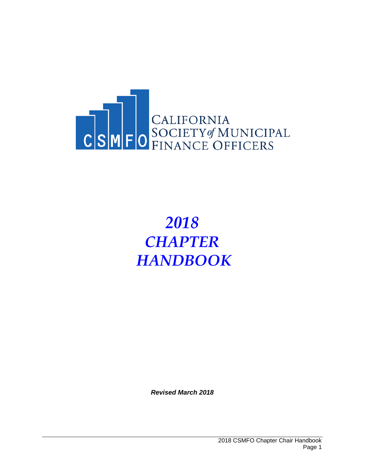

# *2018 CHAPTER HANDBOOK*

*Revised March 2018*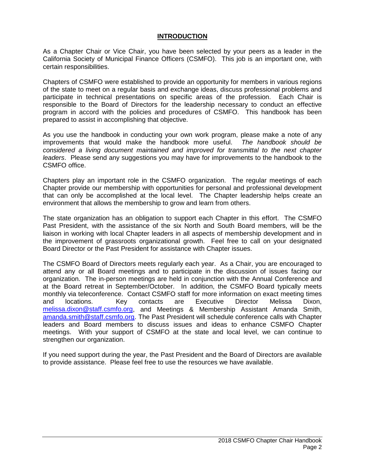## **INTRODUCTION**

As a Chapter Chair or Vice Chair, you have been selected by your peers as a leader in the California Society of Municipal Finance Officers (CSMFO). This job is an important one, with certain responsibilities.

Chapters of CSMFO were established to provide an opportunity for members in various regions of the state to meet on a regular basis and exchange ideas, discuss professional problems and participate in technical presentations on specific areas of the profession. Each Chair is responsible to the Board of Directors for the leadership necessary to conduct an effective program in accord with the policies and procedures of CSMFO. This handbook has been prepared to assist in accomplishing that objective.

As you use the handbook in conducting your own work program, please make a note of any improvements that would make the handbook more useful. *The handbook should be considered a living document maintained and improved for transmittal to the next chapter leaders*. Please send any suggestions you may have for improvements to the handbook to the CSMFO office.

Chapters play an important role in the CSMFO organization. The regular meetings of each Chapter provide our membership with opportunities for personal and professional development that can only be accomplished at the local level. The Chapter leadership helps create an environment that allows the membership to grow and learn from others.

The state organization has an obligation to support each Chapter in this effort. The CSMFO Past President, with the assistance of the six North and South Board members, will be the liaison in working with local Chapter leaders in all aspects of membership development and in the improvement of grassroots organizational growth. Feel free to call on your designated Board Director or the Past President for assistance with Chapter issues.

The CSMFO Board of Directors meets regularly each year. As a Chair, you are encouraged to attend any or all Board meetings and to participate in the discussion of issues facing our organization. The in-person meetings are held in conjunction with the Annual Conference and at the Board retreat in September/October. In addition, the CSMFO Board typically meets monthly via teleconference. Contact CSMFO staff for more information on exact meeting times and locations. Key contacts are Executive Director Melissa Dixon, [melissa.dixon@staff.csmfo.org,](mailto:melissa.dixon@staff.csmfo.org) and Meetings & Membership Assistant Amanda Smith, [amanda.smith@staff.csmfo.org.](mailto:amanda.smith@staff.csmfo.org) The Past President will schedule conference calls with Chapter leaders and Board members to discuss issues and ideas to enhance CSMFO Chapter meetings. With your support of CSMFO at the state and local level, we can continue to strengthen our organization.

If you need support during the year, the Past President and the Board of Directors are available to provide assistance. Please feel free to use the resources we have available.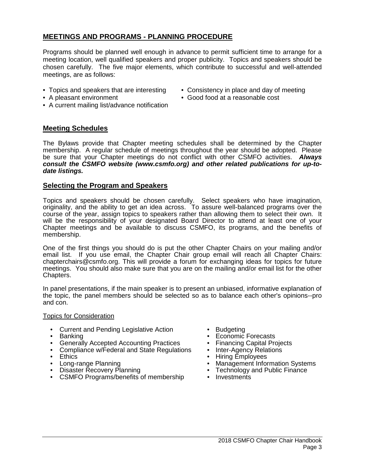# **MEETINGS AND PROGRAMS - PLANNING PROCEDURE**

Programs should be planned well enough in advance to permit sufficient time to arrange for a meeting location, well qualified speakers and proper publicity. Topics and speakers should be chosen carefully. The five major elements, which contribute to successful and well-attended meetings, are as follows:

- 
- Topics and speakers that are interesting Consistency in place and day of meeting
- A pleasant environment Good food at a reasonable cost
- A current mailing list/advance notification

## **Meeting Schedules**

The Bylaws provide that Chapter meeting schedules shall be determined by the Chapter membership. A regular schedule of meetings throughout the year should be adopted. Please be sure that your Chapter meetings do not conflict with other CSMFO activities. *Always consult the CSMFO website (www.csmfo.org) and other related publications for up-todate listings.*

## **Selecting the Program and Speakers**

Topics and speakers should be chosen carefully. Select speakers who have imagination, originality, and the ability to get an idea across. To assure well-balanced programs over the course of the year, assign topics to speakers rather than allowing them to select their own. It will be the responsibility of your designated Board Director to attend at least one of your Chapter meetings and be available to discuss CSMFO, its programs, and the benefits of membership.

One of the first things you should do is put the other Chapter Chairs on your mailing and/or email list. If you use email, the Chapter Chair group email will reach all Chapter Chairs: chapterchairs@csmfo.org. This will provide a forum for exchanging ideas for topics for future meetings. You should also make sure that you are on the mailing and/or email list for the other Chapters.

In panel presentations, if the main speaker is to present an unbiased, informative explanation of the topic, the panel members should be selected so as to balance each other's opinions--pro and con.

## Topics for Consideration

- Current and Pending Legislative Action Budgeting<br>• Banking Economic
- 
- 
- Generally Accepted Accounting Practices Financing Capital Projects<br>• Compliance w/Federal and State Regulations Inter-Agency Relations • Compliance w/Federal and State Regulations<br>• Ethics
- 
- Ethics Ethics Ethics Ethics Hiring Employees Hiring Employees Hiring Employees Hiring Employees All and a metal value of the metal value of the metal value of the metal value of the metal value of the met
- 
- CSMFO Programs/benefits of membership
- 
- **Economic Forecasts**
- 
- 
- 
- Long-range Planning  **Constanting Management Information Systems**<br>• Disaster Recovery Planning  **Technology and Public Finance** 
	- Technology and Public Finance<br>• Investments
	-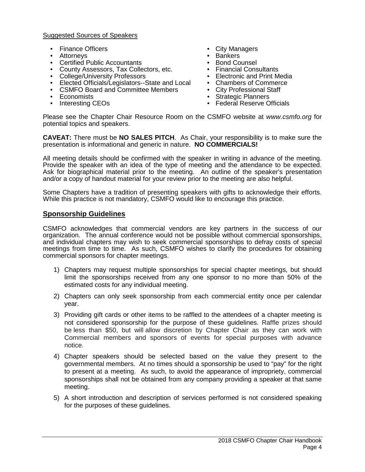## Suggested Sources of Speakers

- Finance Officers City Managers
- 
- Attorneys Bankers
- Certified Public Accountants<br>• County Assessors. Tax Collectors. etc. Financial Consultants • County Assessors, Tax Collectors, etc. • Financial Consultants<br>• College/University Professors • Electronic and Print Media
- 
- College/University Professors Electronic and Print Media<br>• Elected Officials/Legislators--State and Local Chambers of Commerce • Elected Officials/Legislators--State and Local • Chambers of Commerce CSMFO Board and Committee Members • City Professional Staff
- CSMFO Board and Committee Members<br>• Economists
- 
- 
- 
- 
- 
- 
- 
- 
- 
- Economists Strategic Planners
	- Federal Reserve Officials

Please see the Chapter Chair Resource Room on the CSMFO website at *www.csmfo.org* for potential topics and speakers.

**CAVEAT:** There must be **NO SALES PITCH**. As Chair, your responsibility is to make sure the presentation is informational and generic in nature. **NO COMMERCIALS!**

All meeting details should be confirmed with the speaker in writing in advance of the meeting. Provide the speaker with an idea of the type of meeting and the attendance to be expected. Ask for biographical material prior to the meeting. An outline of the speaker's presentation and/or a copy of handout material for your review prior to the meeting are also helpful.

Some Chapters have a tradition of presenting speakers with gifts to acknowledge their efforts. While this practice is not mandatory, CSMFO would like to encourage this practice.

## **Sponsorship Guidelines**

CSMFO acknowledges that commercial vendors are key partners in the success of our organization. The annual conference would not be possible without commercial sponsorships, and individual chapters may wish to seek commercial sponsorships to defray costs of special meetings from time to time. As such, CSMFO wishes to clarify the procedures for obtaining commercial sponsors for chapter meetings.

- 1) Chapters may request multiple sponsorships for special chapter meetings, but should limit the sponsorships received from any one sponsor to no more than 50% of the estimated costs for any individual meeting.
- 2) Chapters can only seek sponsorship from each commercial entity once per calendar year.
- 3) Providing gift cards or other items to be raffled to the attendees of a chapter meeting is not considered sponsorship for the purpose of these guidelines. Raffle prizes should be less than \$50, but will allow discretion by Chapter Chair as they can work with Commercial members and sponsors of events for special purposes with advance notice.
- 4) Chapter speakers should be selected based on the value they present to the governmental members. At no times should a sponsorship be used to "pay" for the right to present at a meeting. As such, to avoid the appearance of impropriety, commercial sponsorships shall not be obtained from any company providing a speaker at that same meeting.
- 5) A short introduction and description of services performed is not considered speaking for the purposes of these guidelines.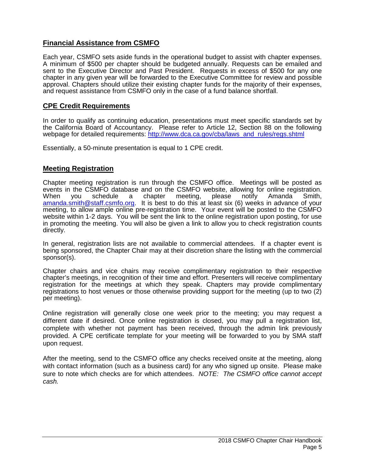## **Financial Assistance from CSMFO**

Each year, CSMFO sets aside funds in the operational budget to assist with chapter expenses. A minimum of \$500 per chapter should be budgeted annually. Requests can be emailed and sent to the Executive Director and Past President. Requests in excess of \$500 for any one chapter in any given year will be forwarded to the Executive Committee for review and possible approval. Chapters should utilize their existing chapter funds for the majority of their expenses, and request assistance from CSMFO only in the case of a fund balance shortfall.

## **CPE Credit Requirements**

In order to qualify as continuing education, presentations must meet specific standards set by the California Board of Accountancy. Please refer to Article 12, Section 88 on the following webpage for detailed requirements: [http://www.dca.ca.gov/cba/laws\\_and\\_rules/regs.shtml](http://www.dca.ca.gov/cba/laws_and_rules/regs.shtml)

Essentially, a 50-minute presentation is equal to 1 CPE credit.

## **Meeting Registration**

Chapter meeting registration is run through the CSMFO office. Meetings will be posted as events in the CSMFO database and on the CSMFO website, allowing for online registration.<br>When you schedule a chapter meeting, please notify Amanda Smith, When you schedule a chapter meeting, please notify Amanda Smith, [amanda.smith@staff.csmfo.org.](mailto:melissa.dixon@staff.csmfo.org) It is best to do this at least six (6) weeks in advance of your meeting, to allow ample online pre-registration time. Your event will be posted to the CSMFO website within 1-2 days. You will be sent the link to the online registration upon posting, for use in promoting the meeting. You will also be given a link to allow you to check registration counts directly.

In general, registration lists are not available to commercial attendees. If a chapter event is being sponsored, the Chapter Chair may at their discretion share the listing with the commercial sponsor(s).

Chapter chairs and vice chairs may receive complimentary registration to their respective chapter's meetings, in recognition of their time and effort. Presenters will receive complimentary registration for the meetings at which they speak. Chapters may provide complimentary registrations to host venues or those otherwise providing support for the meeting (up to two (2) per meeting).

Online registration will generally close one week prior to the meeting; you may request a different date if desired. Once online registration is closed, you may pull a registration list, complete with whether not payment has been received, through the admin link previously provided. A CPE certificate template for your meeting will be forwarded to you by SMA staff upon request.

After the meeting, send to the CSMFO office any checks received onsite at the meeting, along with contact information (such as a business card) for any who signed up onsite. Please make sure to note which checks are for which attendees. *NOTE: The CSMFO office cannot accept cash.*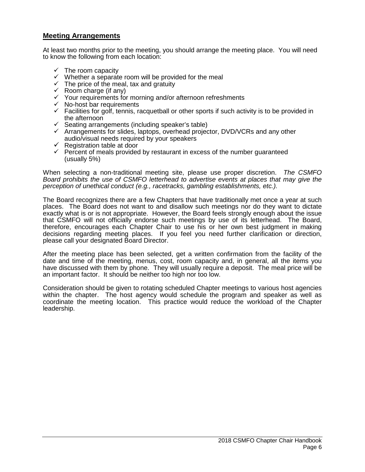## **Meeting Arrangements**

At least two months prior to the meeting, you should arrange the meeting place. You will need to know the following from each location:

- $\checkmark$  The room capacity
- $\checkmark$  Whether a separate room will be provided for the meal
- $\checkmark$  The price of the meal, tax and gratuity
- $\checkmark$  Room charge (if any)
- $\checkmark$  Your requirements for morning and/or afternoon refreshments
- $\checkmark$  No-host bar requirements
- $\checkmark$  Facilities for golf, tennis, racquetball or other sports if such activity is to be provided in the afternoon
- $\checkmark$  Seating arrangements (including speaker's table)
- $\checkmark$  Arrangements for slides, laptops, overhead projector, DVD/VCRs and any other audio/visual needs required by your speakers
- $\overline{\phantom{a}}$  Registration table at door
- $\checkmark$  Percent of meals provided by restaurant in excess of the number guaranteed (usually 5%)

When selecting a non-traditional meeting site, please use proper discretion. *The CSMFO Board prohibits the use of CSMFO letterhead to advertise events at places that may give the perception of unethical conduct (e.g., racetracks, gambling establishments, etc.).*

The Board recognizes there are a few Chapters that have traditionally met once a year at such places. The Board does not want to and disallow such meetings nor do they want to dictate exactly what is or is not appropriate. However, the Board feels strongly enough about the issue that CSMFO will not officially endorse such meetings by use of its letterhead. The Board, therefore, encourages each Chapter Chair to use his or her own best judgment in making decisions regarding meeting places. If you feel you need further clarification or direction, please call your designated Board Director.

After the meeting place has been selected, get a written confirmation from the facility of the date and time of the meeting, menus, cost, room capacity and, in general, all the items you have discussed with them by phone. They will usually require a deposit. The meal price will be an important factor. It should be neither too high nor too low.

Consideration should be given to rotating scheduled Chapter meetings to various host agencies within the chapter. The host agency would schedule the program and speaker as well as coordinate the meeting location. This practice would reduce the workload of the Chapter leadership.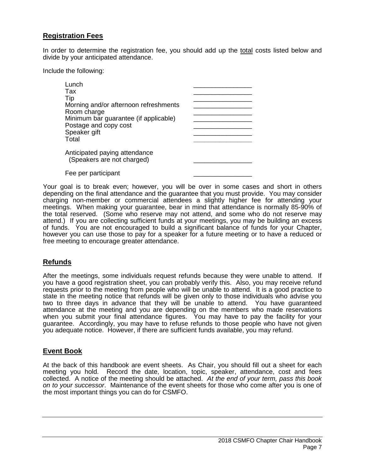## **Registration Fees**

In order to determine the registration fee, you should add up the total costs listed below and divide by your anticipated attendance.

Include the following:

| Lunch<br>Tax<br>Tip<br>Morning and/or afternoon refreshments<br>Room charge<br>Minimum bar guarantee (if applicable)<br>Postage and copy cost<br>Speaker gift<br>Total |  |
|------------------------------------------------------------------------------------------------------------------------------------------------------------------------|--|
| Anticipated paying attendance<br>(Speakers are not charged)                                                                                                            |  |
| Fee per participant                                                                                                                                                    |  |

Your goal is to break even; however, you will be over in some cases and short in others depending on the final attendance and the guarantee that you must provide. You may consider charging non-member or commercial attendees a slightly higher fee for attending your meetings. When making your guarantee, bear in mind that attendance is normally 85-90% of the total reserved. (Some who reserve may not attend, and some who do not reserve may attend.) If you are collecting sufficient funds at your meetings, you may be building an excess of funds. You are not encouraged to build a significant balance of funds for your Chapter, however you can use those to pay for a speaker for a future meeting or to have a reduced or free meeting to encourage greater attendance.

## **Refunds**

After the meetings, some individuals request refunds because they were unable to attend. If you have a good registration sheet, you can probably verify this. Also, you may receive refund requests prior to the meeting from people who will be unable to attend. It is a good practice to state in the meeting notice that refunds will be given only to those individuals who advise you two to three days in advance that they will be unable to attend. You have guaranteed attendance at the meeting and you are depending on the members who made reservations when you submit your final attendance figures. You may have to pay the facility for your guarantee. Accordingly, you may have to refuse refunds to those people who have not given you adequate notice. However, if there are sufficient funds available, you may refund.

## **Event Book**

At the back of this handbook are event sheets. As Chair, you should fill out a sheet for each meeting you hold. Record the date, location, topic, speaker, attendance, cost and fees collected. A notice of the meeting should be attached. *At the end of your term, pass this book on to your successor*. Maintenance of the event sheets for those who come after you is one of the most important things you can do for CSMFO.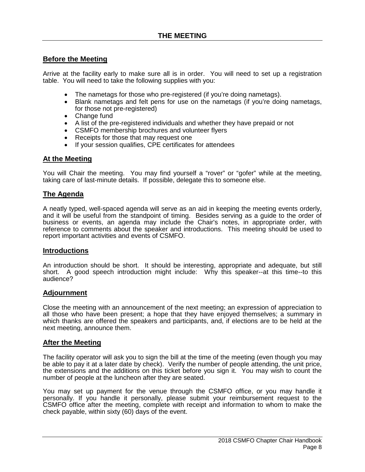## **Before the Meeting**

Arrive at the facility early to make sure all is in order. You will need to set up a registration table. You will need to take the following supplies with you:

- The nametags for those who pre-registered (if you're doing nametags).
- Blank nametags and felt pens for use on the nametags (if you're doing nametags, for those not pre-registered)
- Change fund
- A list of the pre-registered individuals and whether they have prepaid or not
- CSMFO membership brochures and volunteer flyers
- Receipts for those that may request one
- If your session qualifies, CPE certificates for attendees

## **At the Meeting**

You will Chair the meeting. You may find yourself a "rover" or "gofer" while at the meeting, taking care of last-minute details. If possible, delegate this to someone else.

## **The Agenda**

A neatly typed, well-spaced agenda will serve as an aid in keeping the meeting events orderly, and it will be useful from the standpoint of timing. Besides serving as a guide to the order of business or events, an agenda may include the Chair's notes, in appropriate order, with reference to comments about the speaker and introductions. This meeting should be used to report important activities and events of CSMFO.

## **Introductions**

An introduction should be short. It should be interesting, appropriate and adequate, but still short. A good speech introduction might include: Why this speaker--at this time--to this audience?

## **Adjournment**

Close the meeting with an announcement of the next meeting; an expression of appreciation to all those who have been present; a hope that they have enjoyed themselves; a summary in which thanks are offered the speakers and participants, and, if elections are to be held at the next meeting, announce them.

## **After the Meeting**

The facility operator will ask you to sign the bill at the time of the meeting (even though you may be able to pay it at a later date by check). Verify the number of people attending, the unit price, the extensions and the additions on this ticket before you sign it. You may wish to count the number of people at the luncheon after they are seated.

You may set up payment for the venue through the CSMFO office, or you may handle it personally. If you handle it personally, please submit your reimbursement request to the CSMFO office after the meeting, complete with receipt and information to whom to make the check payable, within sixty (60) days of the event.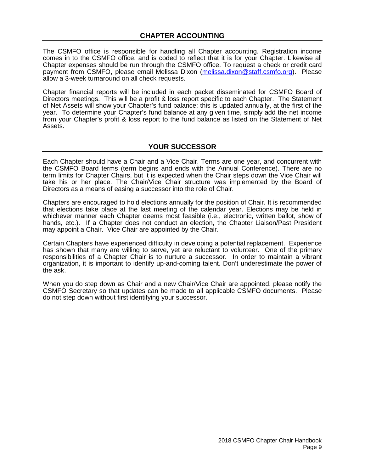The CSMFO office is responsible for handling all Chapter accounting. Registration income comes in to the CSMFO office, and is coded to reflect that it is for your Chapter. Likewise all Chapter expenses should be run through the CSMFO office. To request a check or credit card payment from CSMFO, please email Melissa Dixon [\(melissa.dixon@staff.csmfo.org\)](mailto:melissa.dixon@staff.csmfo.org). Please allow a 3-week turnaround on all check requests.

Chapter financial reports will be included in each packet disseminated for CSMFO Board of Directors meetings. This will be a profit & loss report specific to each Chapter. The Statement of Net Assets will show your Chapter's fund balance; this is updated annually, at the first of the year. To determine your Chapter's fund balance at any given time, simply add the net income from your Chapter's profit & loss report to the fund balance as listed on the Statement of Net Assets.

## **YOUR SUCCESSOR**

Each Chapter should have a Chair and a Vice Chair. Terms are one year, and concurrent with the CSMFO Board terms (term begins and ends with the Annual Conference). There are no term limits for Chapter Chairs, but it is expected when the Chair steps down the Vice Chair will take his or her place. The Chair/Vice Chair structure was implemented by the Board of Directors as a means of easing a successor into the role of Chair.

Chapters are encouraged to hold elections annually for the position of Chair. It is recommended that elections take place at the last meeting of the calendar year. Elections may be held in whichever manner each Chapter deems most feasible (i.e., electronic, written ballot, show of hands, etc.). If a Chapter does not conduct an election, the Chapter Liaison/Past President may appoint a Chair. Vice Chair are appointed by the Chair.

Certain Chapters have experienced difficulty in developing a potential replacement. Experience has shown that many are willing to serve, yet are reluctant to volunteer. One of the primary responsibilities of a Chapter Chair is to nurture a successor. In order to maintain a vibrant organization, it is important to identify up-and-coming talent. Don't underestimate the power of the ask.

When you do step down as Chair and a new Chair/Vice Chair are appointed, please notify the CSMFO Secretary so that updates can be made to all applicable CSMFO documents. Please do not step down without first identifying your successor.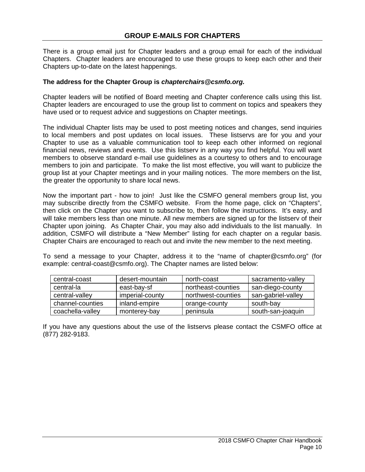There is a group email just for Chapter leaders and a group email for each of the individual Chapters. Chapter leaders are encouraged to use these groups to keep each other and their Chapters up-to-date on the latest happenings.

## **The address for the Chapter Group is** *chapterchairs@csmfo.org.*

Chapter leaders will be notified of Board meeting and Chapter conference calls using this list. Chapter leaders are encouraged to use the group list to comment on topics and speakers they have used or to request advice and suggestions on Chapter meetings.

The individual Chapter lists may be used to post meeting notices and changes, send inquiries to local members and post updates on local issues. These listservs are for you and your Chapter to use as a valuable communication tool to keep each other informed on regional financial news, reviews and events. Use this listserv in any way you find helpful. You will want members to observe standard e-mail use guidelines as a courtesy to others and to encourage members to join and participate. To make the list most effective, you will want to publicize the group list at your Chapter meetings and in your mailing notices. The more members on the list, the greater the opportunity to share local news.

Now the important part - how to join! Just like the CSMFO general members group list, you may subscribe directly from the CSMFO website. From the home page, click on "Chapters", then click on the Chapter you want to subscribe to, then follow the instructions. It's easy, and will take members less than one minute. All new members are signed up for the listserv of their Chapter upon joining. As Chapter Chair, you may also add individuals to the list manually. In addition, CSMFO will distribute a "New Member" listing for each chapter on a regular basis. Chapter Chairs are encouraged to reach out and invite the new member to the next meeting.

To send a message to your Chapter, address it to the "name of chapter@csmfo.org" (for example: central-coast@csmfo.org). The Chapter names are listed below:

| central-coast    | desert-mountain | north-coast        | sacramento-valley  |
|------------------|-----------------|--------------------|--------------------|
| central-la       | east-bay-sf     | northeast-counties | san-diego-county   |
| central-valley   | imperial-county | northwest-counties | san-gabriel-valley |
| channel-counties | inland-empire   | orange-county      | south-bay          |
| coachella-valley | monterey-bay    | peninsula          | south-san-joaquin  |

If you have any questions about the use of the listservs please contact the CSMFO office at (877) 282-9183.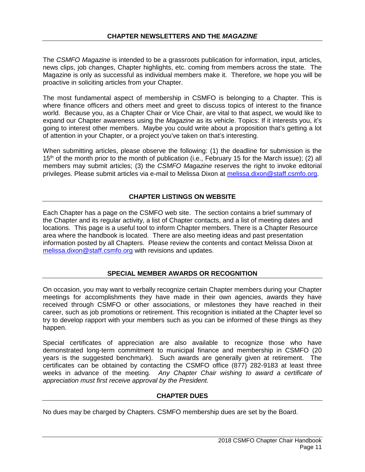The *CSMFO Magazine* is intended to be a grassroots publication for information, input, articles, news clips, job changes, Chapter highlights, etc. coming from members across the state. The Magazine is only as successful as individual members make it. Therefore, we hope you will be proactive in soliciting articles from your Chapter.

The most fundamental aspect of membership in CSMFO is belonging to a Chapter. This is where finance officers and others meet and greet to discuss topics of interest to the finance world. Because you, as a Chapter Chair or Vice Chair, are vital to that aspect, we would like to expand our Chapter awareness using the *Magazine* as its vehicle. Topics: If it interests you, it's going to interest other members. Maybe you could write about a proposition that's getting a lot of attention in your Chapter, or a project you've taken on that's interesting.

When submitting articles, please observe the following: (1) the deadline for submission is the 15<sup>th</sup> of the month prior to the month of publication (i.e., February 15 for the March issue); (2) all members may submit articles; (3) the *CSMFO Magazine* reserves the right to invoke editorial privileges. Please submit articles via e-mail to Melissa Dixon at [melissa.dixon@staff.csmfo.org.](mailto:melissa.dixon@staff.csmfo.org)

## **CHAPTER LISTINGS ON WEBSITE**

Each Chapter has a page on the CSMFO web site. The section contains a brief summary of the Chapter and its regular activity, a list of Chapter contacts, and a list of meeting dates and locations. This page is a useful tool to inform Chapter members. There is a Chapter Resource area where the handbook is located. There are also meeting ideas and past presentation information posted by all Chapters. Please review the contents and contact Melissa Dixon at [melissa.dixon@staff.csmfo.org](mailto:melissa.dixon@staff.csmfo.org) with revisions and updates.

## **SPECIAL MEMBER AWARDS OR RECOGNITION**

On occasion, you may want to verbally recognize certain Chapter members during your Chapter meetings for accomplishments they have made in their own agencies, awards they have received through CSMFO or other associations, or milestones they have reached in their career, such as job promotions or retirement. This recognition is initiated at the Chapter level so try to develop rapport with your members such as you can be informed of these things as they happen.

Special certificates of appreciation are also available to recognize those who have demonstrated long-term commitment to municipal finance and membership in CSMFO (20 years is the suggested benchmark). Such awards are generally given at retirement. The certificates can be obtained by contacting the CSMFO office (877) 282-9183 at least three weeks in advance of the meeting. *Any Chapter Chair wishing to award a certificate of appreciation must first receive approval by the President.*

## **CHAPTER DUES**

No dues may be charged by Chapters. CSMFO membership dues are set by the Board.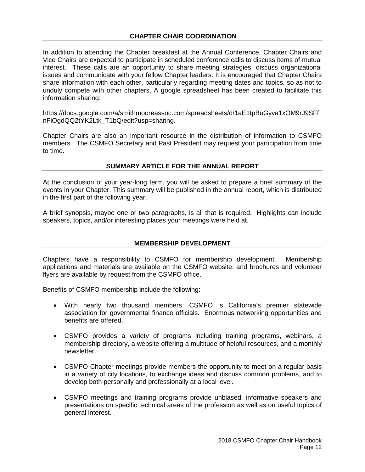In addition to attending the Chapter breakfast at the Annual Conference, Chapter Chairs and Vice Chairs are expected to participate in scheduled conference calls to discuss items of mutual interest. These calls are an opportunity to share meeting strategies, discuss organizational issues and communicate with your fellow Chapter leaders. It is encouraged that Chapter Chairs share information with each other, particularly regarding meeting dates and topics, so as not to unduly compete with other chapters. A google spreadsheet has been created to facilitate this information sharing:

https://docs.google.com/a/smithmooreassoc.com/spreadsheets/d/1aE1tpBuGyva1xOM9rJ9SFf nFiOgdQQ2tYK2Ltk\_T1bQ/edit?usp=sharing.

Chapter Chairs are also an important resource in the distribution of information to CSMFO members. The CSMFO Secretary and Past President may request your participation from time to time.

## **SUMMARY ARTICLE FOR THE ANNUAL REPORT**

At the conclusion of your year-long term, you will be asked to prepare a brief summary of the events in your Chapter. This summary will be published in the annual report, which is distributed in the first part of the following year.

A brief synopsis, maybe one or two paragraphs, is all that is required. Highlights can include speakers, topics, and/or interesting places your meetings were held at.

## **MEMBERSHIP DEVELOPMENT**

Chapters have a responsibility to CSMFO for membership development. Membership applications and materials are available on the CSMFO website, and brochures and volunteer flyers are available by request from the CSMFO office.

Benefits of CSMFO membership include the following:

- With nearly two thousand members, CSMFO is California's premier statewide association for governmental finance officials. Enormous networking opportunities and benefits are offered.
- CSMFO provides a variety of programs including training programs, webinars, a membership directory, a website offering a multitude of helpful resources, and a monthly newsletter.
- CSMFO Chapter meetings provide members the opportunity to meet on a regular basis in a variety of city locations, to exchange ideas and discuss common problems, and to develop both personally and professionally at a local level.
- CSMFO meetings and training programs provide unbiased, informative speakers and presentations on specific technical areas of the profession as well as on useful topics of general interest.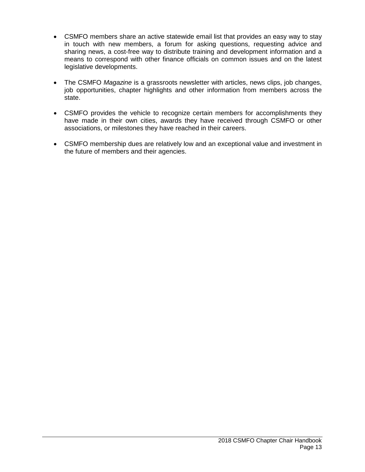- CSMFO members share an active statewide email list that provides an easy way to stay in touch with new members, a forum for asking questions, requesting advice and sharing news, a cost-free way to distribute training and development information and a means to correspond with other finance officials on common issues and on the latest legislative developments.
- The CSMFO *Magazine* is a grassroots newsletter with articles, news clips, job changes, job opportunities, chapter highlights and other information from members across the state.
- CSMFO provides the vehicle to recognize certain members for accomplishments they have made in their own cities, awards they have received through CSMFO or other associations, or milestones they have reached in their careers.
- CSMFO membership dues are relatively low and an exceptional value and investment in the future of members and their agencies.